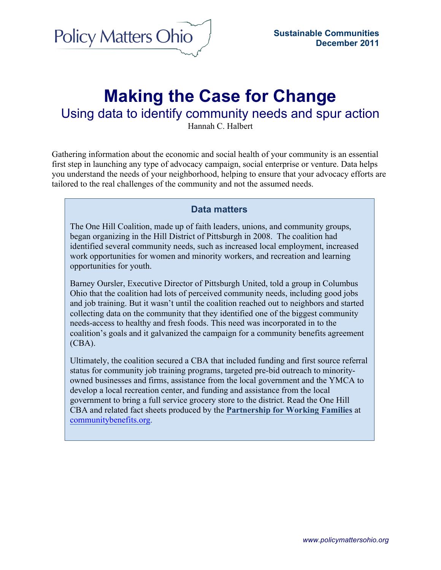

# **Making the Case for Change**

Using data to identify community needs and spur action

Hannah C. Halbert

Gathering information about the economic and social health of your community is an essential first step in launching any type of advocacy campaign, social enterprise or venture. Data helps you understand the needs of your neighborhood, helping to ensure that your advocacy efforts are tailored to the real challenges of the community and not the assumed needs.

#### **Data matters**

The One Hill Coalition, made up of faith leaders, unions, and community groups, began organizing in the Hill District of Pittsburgh in 2008. The coalition had identified several community needs, such as increased local employment, increased work opportunities for women and minority workers, and recreation and learning opportunities for youth.

Barney Oursler, Executive Director of Pittsburgh United, told a group in Columbus Ohio that the coalition had lots of perceived community needs, including good jobs and job training. But it wasn't until the coalition reached out to neighbors and started collecting data on the community that they identified one of the biggest community needs-access to healthy and fresh foods. This need was incorporated in to the coalition's goals and it galvanized the campaign for a community benefits agreement  $(CBA)$ .

Ultimately, the coalition secured a CBA that included funding and first source referral status for community job training programs, targeted pre-bid outreach to minorityowned businesses and firms, assistance from the local government and the YMCA to develop a local recreation center, and funding and assistance from the local government to bring a full service grocery store to the district. Read the One Hill CBA and related fact sheets produced by the **Partnership for Working Families** at communitybenefits.org.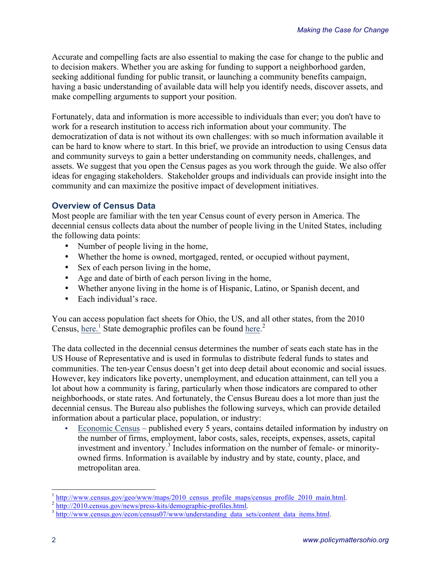Accurate and compelling facts are also essential to making the case for change to the public and to decision makers. Whether you are asking for funding to support a neighborhood garden, seeking additional funding for public transit, or launching a community benefits campaign, having a basic understanding of available data will help you identify needs, discover assets, and make compelling arguments to support your position.

Fortunately, data and information is more accessible to individuals than ever; you don't have to work for a research institution to access rich information about your community. The democratization of data is not without its own challenges: with so much information available it can be hard to know where to start. In this brief, we provide an introduction to using Census data and community surveys to gain a better understanding on community needs, challenges, and assets. We suggest that you open the Census pages as you work through the guide. We also offer ideas for engaging stakeholders. Stakeholder groups and individuals can provide insight into the community and can maximize the positive impact of development initiatives.

#### **Overview of Census Data**

Most people are familiar with the ten year Census count of every person in America. The decennial census collects data about the number of people living in the United States, including the following data points:

- Number of people living in the home,
- Whether the home is owned, mortgaged, rented, or occupied without payment,
- Sex of each person living in the home,
- Age and date of birth of each person living in the home,
- Whether anyone living in the home is of Hispanic, Latino, or Spanish decent, and
- Each individual's race

You can access population fact sheets for Ohio, the US, and all other states, from the 2010 Census, here.<sup>1</sup> State demographic profiles can be found here.<sup>2</sup>

The data collected in the decennial census determines the number of seats each state has in the US House of Representative and is used in formulas to distribute federal funds to states and communities. The ten-year Census doesn't get into deep detail about economic and social issues. However, key indicators like poverty, unemployment, and education attainment, can tell you a lot about how a community is faring, particularly when those indicators are compared to other neighborhoods, or state rates. And fortunately, the Census Bureau does a lot more than just the decennial census. The Bureau also publishes the following surveys, which can provide detailed information about a particular place, population, or industry:

• Economic Census – published every 5 years, contains detailed information by industry on the number of firms, employment, labor costs, sales, receipts, expenses, assets, capital investment and inventory.<sup>3</sup> Includes information on the number of female- or minorityowned firms. Information is available by industry and by state, county, place, and metropolitan area.

 $\frac{1}{2}$  http://www.census.gov/geo/www/maps/2010\_census\_profile\_maps/census\_profile\_2010\_main.html.<br> $\frac{2}{3}$  http://2010.census.gov/news/press-kits/demographic-profiles.html.<br> $\frac{1}{3}$  http://www.census.gov/econ/census0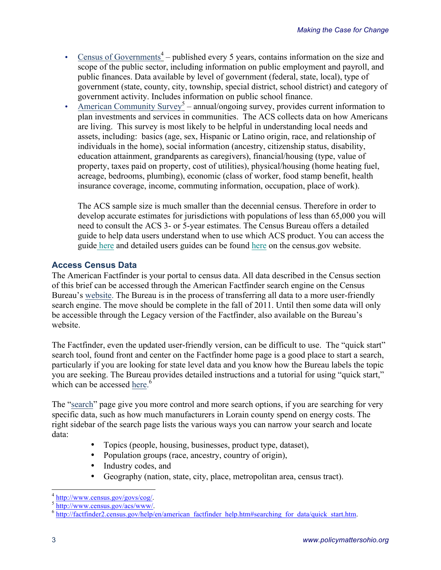- Census of Governments<sup>4</sup> published every 5 years, contains information on the size and scope of the public sector, including information on public employment and payroll, and public finances. Data available by level of government (federal, state, local), type of government (state, county, city, township, special district, school district) and category of government activity. Includes information on public school finance.
- American Community Survey<sup>5</sup> annual/ongoing survey, provides current information to plan investments and services in communities. The ACS collects data on how Americans are living. This survey is most likely to be helpful in understanding local needs and assets, including: basics (age, sex, Hispanic or Latino origin, race, and relationship of individuals in the home), social information (ancestry, citizenship status, disability, education attainment, grandparents as caregivers), financial/housing (type, value of property, taxes paid on property, cost of utilities), physical/housing (home heating fuel, acreage, bedrooms, plumbing), economic (class of worker, food stamp benefit, health insurance coverage, income, commuting information, occupation, place of work).

The ACS sample size is much smaller than the decennial census. Therefore in order to develop accurate estimates for jurisdictions with populations of less than 65,000 you will need to consult the ACS 3- or 5-year estimates. The Census Bureau offers a detailed guide to help data users understand when to use which ACS product. You can access the guide here and detailed users guides can be found here on the census.gov website.

## **Access Census Data**

The American Factfinder is your portal to census data. All data described in the Census section of this brief can be accessed through the American Factfinder search engine on the Census Bureau's website. The Bureau is in the process of transferring all data to a more user-friendly search engine. The move should be complete in the fall of 2011. Until then some data will only be accessible through the Legacy version of the Factfinder, also available on the Bureau's website.

The Factfinder, even the updated user-friendly version, can be difficult to use. The "quick start" search tool, found front and center on the Factfinder home page is a good place to start a search, particularly if you are looking for state level data and you know how the Bureau labels the topic you are seeking. The Bureau provides detailed instructions and a tutorial for using "quick start," which can be accessed here. $6$ 

The "search" page give you more control and more search options, if you are searching for very specific data, such as how much manufacturers in Lorain county spend on energy costs. The right sidebar of the search page lists the various ways you can narrow your search and locate data:

- Topics (people, housing, businesses, product type, dataset),
- Population groups (race, ancestry, country of origin),
- Industry codes, and
- Geography (nation, state, city, place, metropolitan area, census tract).

 $\frac{4 \text{ http://www.census.gov/govs/cog/}}{\text{http://www.census.gov/acs/www/}}$ .<br>  $\frac{5 \text{http://www.census.gov/acs/www/}}{\text{http://factfinder2.census.gov/help/en/american}}$  factfinder help.htm#searching for data/quick start.htm.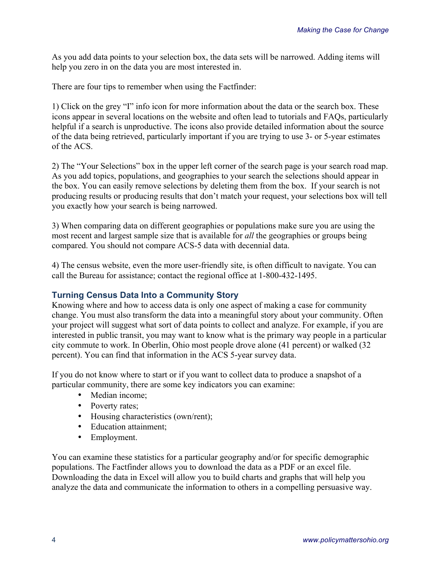As you add data points to your selection box, the data sets will be narrowed. Adding items will help you zero in on the data you are most interested in.

There are four tips to remember when using the Factfinder:

1) Click on the grey "I" info icon for more information about the data or the search box. These icons appear in several locations on the website and often lead to tutorials and FAQs, particularly helpful if a search is unproductive. The icons also provide detailed information about the source of the data being retrieved, particularly important if you are trying to use 3- or 5-year estimates of the ACS.

2) The "Your Selections" box in the upper left corner of the search page is your search road map. As you add topics, populations, and geographies to your search the selections should appear in the box. You can easily remove selections by deleting them from the box. If your search is not producing results or producing results that don't match your request, your selections box will tell you exactly how your search is being narrowed.

3) When comparing data on different geographies or populations make sure you are using the most recent and largest sample size that is available for *all* the geographies or groups being compared. You should not compare ACS-5 data with decennial data.

4) The census website, even the more user-friendly site, is often difficult to navigate. You can call the Bureau for assistance; contact the regional office at 1-800-432-1495.

#### **Turning Census Data Into a Community Story**

Knowing where and how to access data is only one aspect of making a case for community change. You must also transform the data into a meaningful story about your community. Often your project will suggest what sort of data points to collect and analyze. For example, if you are interested in public transit, you may want to know what is the primary way people in a particular city commute to work. In Oberlin, Ohio most people drove alone (41 percent) or walked (32 percent). You can find that information in the ACS 5-year survey data.

If you do not know where to start or if you want to collect data to produce a snapshot of a particular community, there are some key indicators you can examine:

- Median income;
- Poverty rates;
- Housing characteristics (own/rent);
- Education attainment;
- Employment.

You can examine these statistics for a particular geography and/or for specific demographic populations. The Factfinder allows you to download the data as a PDF or an excel file. Downloading the data in Excel will allow you to build charts and graphs that will help you analyze the data and communicate the information to others in a compelling persuasive way.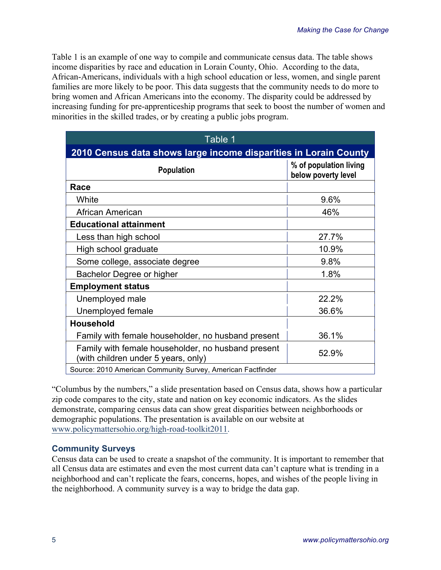Table 1 is an example of one way to compile and communicate census data. The table shows income disparities by race and education in Lorain County, Ohio. According to the data, African-Americans, individuals with a high school education or less, women, and single parent families are more likely to be poor. This data suggests that the community needs to do more to bring women and African Americans into the economy. The disparity could be addressed by increasing funding for pre-apprenticeship programs that seek to boost the number of women and minorities in the skilled trades, or by creating a public jobs program.

| Table 1                                                                                   |                                               |
|-------------------------------------------------------------------------------------------|-----------------------------------------------|
| 2010 Census data shows large income disparities in Lorain County                          |                                               |
| <b>Population</b>                                                                         | % of population living<br>below poverty level |
| Race                                                                                      |                                               |
| White                                                                                     | 9.6%                                          |
| African American                                                                          | 46%                                           |
| <b>Educational attainment</b>                                                             |                                               |
| Less than high school                                                                     | 27.7%                                         |
| High school graduate                                                                      | 10.9%                                         |
| Some college, associate degree                                                            | 9.8%                                          |
| Bachelor Degree or higher                                                                 | 1.8%                                          |
| <b>Employment status</b>                                                                  |                                               |
| Unemployed male                                                                           | 22.2%                                         |
| Unemployed female                                                                         | 36.6%                                         |
| <b>Household</b>                                                                          |                                               |
| Family with female householder, no husband present                                        | 36.1%                                         |
| Family with female householder, no husband present<br>(with children under 5 years, only) | 52.9%                                         |
| Source: 2010 American Community Survey, American Factfinder                               |                                               |

"Columbus by the numbers," a slide presentation based on Census data, shows how a particular zip code compares to the city, state and nation on key economic indicators. As the slides demonstrate, comparing census data can show great disparities between neighborhoods or demographic populations. The presentation is available on our website at www.policymattersohio.org/high-road-toolkit2011.

#### **Community Surveys**

Census data can be used to create a snapshot of the community. It is important to remember that all Census data are estimates and even the most current data can't capture what is trending in a neighborhood and can't replicate the fears, concerns, hopes, and wishes of the people living in the neighborhood. A community survey is a way to bridge the data gap.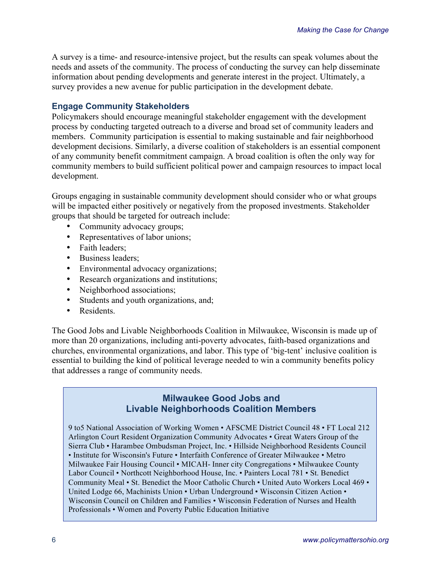A survey is a time- and resource-intensive project, but the results can speak volumes about the needs and assets of the community. The process of conducting the survey can help disseminate information about pending developments and generate interest in the project. Ultimately, a survey provides a new avenue for public participation in the development debate.

#### **Engage Community Stakeholders**

Policymakers should encourage meaningful stakeholder engagement with the development process by conducting targeted outreach to a diverse and broad set of community leaders and members. Community participation is essential to making sustainable and fair neighborhood development decisions. Similarly, a diverse coalition of stakeholders is an essential component of any community benefit commitment campaign. A broad coalition is often the only way for community members to build sufficient political power and campaign resources to impact local development.

Groups engaging in sustainable community development should consider who or what groups will be impacted either positively or negatively from the proposed investments. Stakeholder groups that should be targeted for outreach include:

- Community advocacy groups;
- Representatives of labor unions;
- Faith leaders:
- Business leaders;
- Environmental advocacy organizations;
- Research organizations and institutions;
- Neighborhood associations;
- Students and youth organizations, and;
- Residents

The Good Jobs and Livable Neighborhoods Coalition in Milwaukee, Wisconsin is made up of more than 20 organizations, including anti-poverty advocates, faith-based organizations and churches, environmental organizations, and labor. This type of 'big-tent' inclusive coalition is essential to building the kind of political leverage needed to win a community benefits policy that addresses a range of community needs.

### **Milwaukee Good Jobs and Livable Neighborhoods Coalition Members**

9 to5 National Association of Working Women • AFSCME District Council 48 • FT Local 212 Arlington Court Resident Organization Community Advocates • Great Waters Group of the Sierra Club • Harambee Ombudsman Project, Inc. • Hillside Neighborhood Residents Council • Institute for Wisconsin's Future • Interfaith Conference of Greater Milwaukee • Metro Milwaukee Fair Housing Council • MICAH- Inner city Congregations • Milwaukee County Labor Council • Northcott Neighborhood House, Inc. • Painters Local 781 • St. Benedict Community Meal • St. Benedict the Moor Catholic Church • United Auto Workers Local 469 • United Lodge 66, Machinists Union • Urban Underground • Wisconsin Citizen Action • Wisconsin Council on Children and Families • Wisconsin Federation of Nurses and Health Professionals • Women and Poverty Public Education Initiative